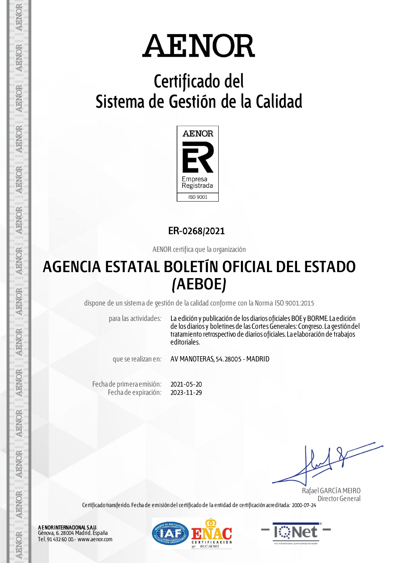## **Certificado del Sistema de Gestión de la Calidad**



**ER-0268/2021**

AENOR certifica que la organización

## **AGENCIA ESTATAL BOLETÍN OFICIAL DEL ESTADO (AEBOE)**

dispone de un sistema de gestión de la calidad conforme con la Norma ISO 9001:2015

para las actividades: La edición y publicación de los diarios oficiales BOE y BORME. La edición de los diarios y boletines de las Cortes Generales: Congreso. La gestión del tratamiento retrospectivo de diarios oficiales. La elaboración de trabajos editoriales.

que se realizan en: AV MANOTERAS, 54. 28005 - MADRID

Fecha de primera emisión: Fecha de expiración: 2021-05-20 2023-11-29

 Rafael GARCÍA MEIRO Director General

Certificado transferido. Fecha de emisión del certificado de la entidad de certificación acreditada: 2000-07-24

A E NOR INTERNACIONAL SA.U. Génova, 6. 28004 Madrid. España Tel. 91 432 60 00.- www.aenor.com

**AENOR** 

AENOR

**AENOR** 

**AENOR** 

**AENOR** 

**AENOR** 

**AENOR** 

AENOR

**AENOR** 

**AENOR** 

**AENOR** 

**ARNOR** 

**AENOR** 

**AENOR**